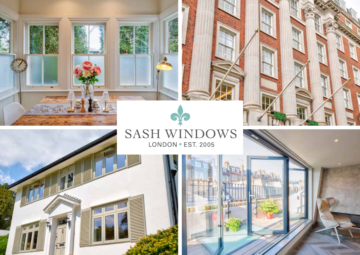

**CONTRACTOR** 

131.8